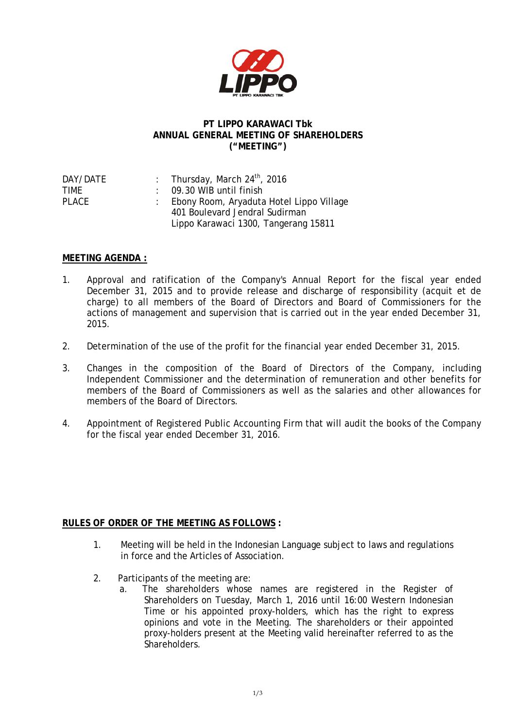

## **PT LIPPO KARAWACI Tbk ANNUAL GENERAL MEETING OF SHAREHOLDERS ("MEETING")**

| DAY/DATE | : Thursday, March $24^{th}$ , 2016         |
|----------|--------------------------------------------|
| TIMF     | $\therefore$ 09.30 WIB until finish        |
| PLACE    | : Ebony Room, Aryaduta Hotel Lippo Village |
|          | 401 Boulevard Jendral Sudirman             |
|          | Lippo Karawaci 1300, Tangerang 15811       |
|          |                                            |

## **MEETING AGENDA :**

- 1. Approval and ratification of the Company's Annual Report for the fiscal year ended December 31, 2015 and to provide release and discharge of responsibility (acquit et de charge) to all members of the Board of Directors and Board of Commissioners for the actions of management and supervision that is carried out in the year ended December 31, 2015.
- 2. Determination of the use of the profit for the financial year ended December 31, 2015.
- 3. Changes in the composition of the Board of Directors of the Company, including Independent Commissioner and the determination of remuneration and other benefits for members of the Board of Commissioners as well as the salaries and other allowances for members of the Board of Directors.
- 4. Appointment of Registered Public Accounting Firm that will audit the books of the Company for the fiscal year ended December 31, 2016.

## **RULES OF ORDER OF THE MEETING AS FOLLOWS :**

- 1. Meeting will be held in the Indonesian Language subject to laws and regulations in force and the Articles of Association.
- 2. Participants of the meeting are:
	- a. The shareholders whose names are registered in the Register of Shareholders on Tuesday, March 1, 2016 until 16:00 Western Indonesian Time or his appointed proxy-holders, which has the right to express opinions and vote in the Meeting. The shareholders or their appointed proxy-holders present at the Meeting valid hereinafter referred to as the Shareholders.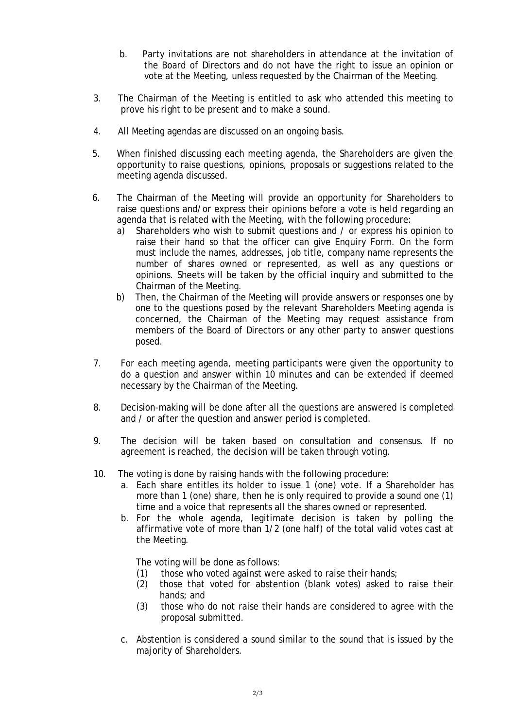- b. Party invitations are not shareholders in attendance at the invitation of the Board of Directors and do not have the right to issue an opinion or vote at the Meeting, unless requested by the Chairman of the Meeting.
- 3. The Chairman of the Meeting is entitled to ask who attended this meeting to prove his right to be present and to make a sound.
- 4. All Meeting agendas are discussed on an ongoing basis.
- 5. When finished discussing each meeting agenda, the Shareholders are given the opportunity to raise questions, opinions, proposals or suggestions related to the meeting agenda discussed.
- 6. The Chairman of the Meeting will provide an opportunity for Shareholders to raise questions and/or express their opinions before a vote is held regarding an agenda that is related with the Meeting, with the following procedure:
	- a) Shareholders who wish to submit questions and / or express his opinion to raise their hand so that the officer can give Enquiry Form. On the form must include the names, addresses, job title, company name represents the number of shares owned or represented, as well as any questions or opinions. Sheets will be taken by the official inquiry and submitted to the Chairman of the Meeting.
	- b) Then, the Chairman of the Meeting will provide answers or responses one by one to the questions posed by the relevant Shareholders Meeting agenda is concerned, the Chairman of the Meeting may request assistance from members of the Board of Directors or any other party to answer questions posed.
- 7. For each meeting agenda, meeting participants were given the opportunity to do a question and answer within 10 minutes and can be extended if deemed necessary by the Chairman of the Meeting.
- 8. Decision-making will be done after all the questions are answered is completed and / or after the question and answer period is completed.
- 9. The decision will be taken based on consultation and consensus. If no agreement is reached, the decision will be taken through voting.
- 10. The voting is done by raising hands with the following procedure:
	- a. Each share entitles its holder to issue 1 (one) vote. If a Shareholder has more than 1 (one) share, then he is only required to provide a sound one (1) time and a voice that represents all the shares owned or represented.
	- b. For the whole agenda, legitimate decision is taken by polling the affirmative vote of more than 1/2 (one half) of the total valid votes cast at the Meeting.

The voting will be done as follows:

- (1) those who voted against were asked to raise their hands;
- (2) those that voted for abstention (blank votes) asked to raise their hands; and
- (3) those who do not raise their hands are considered to agree with the proposal submitted.
- c. Abstention is considered a sound similar to the sound that is issued by the majority of Shareholders.